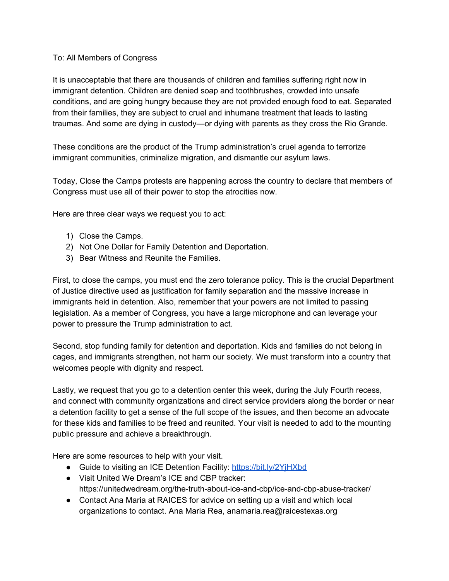## To: All Members of Congress

It is unacceptable that there are thousands of children and families suffering right now in immigrant detention. Children are denied soap and toothbrushes, crowded into unsafe conditions, and are going hungry because they are not provided enough food to eat. Separated from their families, they are subject to cruel and inhumane treatment that leads to lasting traumas. And some are dying in custody—or dying with parents as they cross the Rio Grande.

These conditions are the product of the Trump administration's cruel agenda to terrorize immigrant communities, criminalize migration, and dismantle our asylum laws.

Today, Close the Camps protests are happening across the country to declare that members of Congress must use all of their power to stop the atrocities now.

Here are three clear ways we request you to act:

- 1) Close the Camps.
- 2) Not One Dollar for Family Detention and Deportation.
- 3) Bear Witness and Reunite the Families.

First, to close the camps, you must end the zero tolerance policy. This is the crucial Department of Justice directive used as justification for family separation and the massive increase in immigrants held in detention. Also, remember that your powers are not limited to passing legislation. As a member of Congress, you have a large microphone and can leverage your power to pressure the Trump administration to act.

Second, stop funding family for detention and deportation. Kids and families do not belong in cages, and immigrants strengthen, not harm our society. We must transform into a country that welcomes people with dignity and respect.

Lastly, we request that you go to a detention center this week, during the July Fourth recess, and connect with community organizations and direct service providers along the border or near a detention facility to get a sense of the full scope of the issues, and then become an advocate for these kids and families to be freed and reunited. Your visit is needed to add to the mounting public pressure and achieve a breakthrough.

Here are some resources to help with your visit.

- Guide to visiting an ICE Detention Facility: <https://bit.ly/2YjHXbd>
- Visit United We Dream's ICE and CBP tracker: https://unitedwedream.org/the-truth-about-ice-and-cbp/ice-and-cbp-abuse-tracker/
- Contact Ana Maria at RAICES for advice on setting up a visit and which local organizations to contact. Ana Maria Rea, anamaria.rea@raicestexas.org